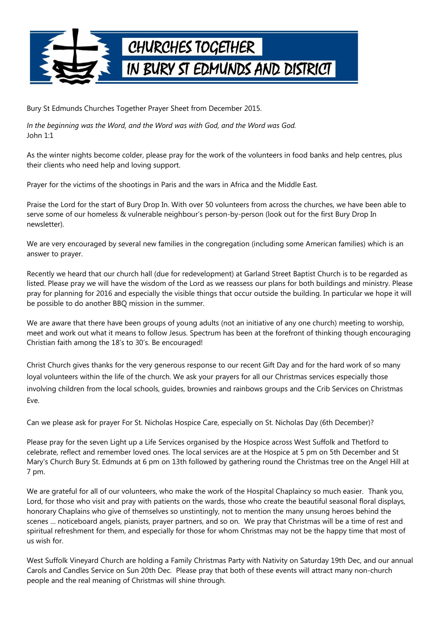

Bury St Edmunds Churches Together Prayer Sheet from December 2015.

*In the beginning was the Word, and the Word was with God, and the Word was God.* John 1:1

As the winter nights become colder, please pray for the work of the volunteers in food banks and help centres, plus their clients who need help and loving support.

Prayer for the victims of the shootings in Paris and the wars in Africa and the Middle East.

Praise the Lord for the start of Bury Drop In. With over 50 volunteers from across the churches, we have been able to serve some of our homeless & vulnerable neighbour's person-by-person (look out for the first Bury Drop In newsletter).

We are very encouraged by several new families in the congregation (including some American families) which is an answer to prayer.

Recently we heard that our church hall (due for redevelopment) at Garland Street Baptist Church is to be regarded as listed. Please pray we will have the wisdom of the Lord as we reassess our plans for both buildings and ministry. Please pray for planning for 2016 and especially the visible things that occur outside the building. In particular we hope it will be possible to do another BBQ mission in the summer.

We are aware that there have been groups of young adults (not an initiative of any one church) meeting to worship, meet and work out what it means to follow Jesus. Spectrum has been at the forefront of thinking though encouraging Christian faith among the 18's to 30's. Be encouraged!

Christ Church gives thanks for the very generous response to our recent Gift Day and for the hard work of so many loyal volunteers within the life of the church. We ask your prayers for all our Christmas services especially those involving children from the local schools, guides, brownies and rainbows groups and the Crib Services on Christmas Eve.

Can we please ask for prayer For St. Nicholas Hospice Care, especially on St. Nicholas Day (6th December)?

Please pray for the seven Light up a Life Services organised by the Hospice across West Suffolk and Thetford to celebrate, reflect and remember loved ones. The local services are at the Hospice at 5 pm on 5th December and St Mary's Church Bury St. Edmunds at 6 pm on 13th followed by gathering round the Christmas tree on the Angel Hill at 7 pm.

We are grateful for all of our volunteers, who make the work of the Hospital Chaplaincy so much easier. Thank you, Lord, for those who visit and pray with patients on the wards, those who create the beautiful seasonal floral displays, honorary Chaplains who give of themselves so unstintingly, not to mention the many unsung heroes behind the scenes … noticeboard angels, pianists, prayer partners, and so on. We pray that Christmas will be a time of rest and spiritual refreshment for them, and especially for those for whom Christmas may not be the happy time that most of us wish for.

West Suffolk Vineyard Church are holding a Family Christmas Party with Nativity on Saturday 19th Dec, and our annual Carols and Candles Service on Sun 20th Dec. Please pray that both of these events will attract many non-church people and the real meaning of Christmas will shine through.